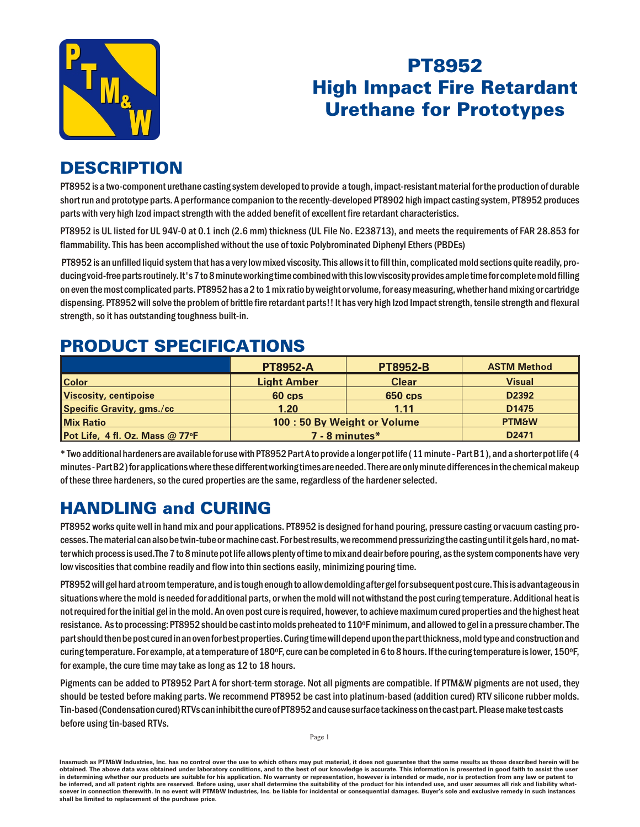

## **PT8952 High Impact Fire Retardant Urethane for Prototypes**

## **DESCRIPTION**

PT8952 is a two-component urethane casting system developed to provide a tough, impact-resistant material for the production of durable short run and prototype parts. A performance companion to the recently-developed PT8902 high impact casting system, PT8952 produces parts with very high Izod impact strength with the added benefit of excellent fire retardant characteristics.

PT8952 is UL listed for UL 94V-0 at 0.1 inch (2.6 mm) thickness (UL File No. E238713), and meets the requirements of FAR 28.853 for flammability. This has been accomplished without the use of toxic Polybrominated Diphenyl Ethers (PBDEs)

PT8952 is an unfilled liquid system that has a very low mixed viscosity. This allows it to fill thin, complicated mold sections quite readily, producing void-free parts routinely. It's 7 to 8 minute working time combined with this low viscosity provides ample time for complete mold filling on even the most complicated parts. PT8952 has a 2 to 1 mix ratio by weight or volume, for easy measuring, whether hand mixing or cartridge dispensing. PT8952 will solve the problem of brittle fire retardant parts!! It has very high lzod Impact strength, tensile strength and flexural strength, so it has outstanding toughness built-in.

## **PRODUCT SPECIFICATIONS**

|                                 | <b>PT8952-A</b>            | <b>PT8952-B</b> | <b>ASTM Method</b> |
|---------------------------------|----------------------------|-----------------|--------------------|
| <b>Color</b>                    | <b>Light Amber</b>         | <b>Clear</b>    | <b>Visual</b>      |
| Viscosity, centipoise           | 60 cps                     | <b>650 cps</b>  | D2392              |
| Specific Gravity, gms./cc       | 1.20                       | 1.11            | D1475              |
| <b>Mix Ratio</b>                | 100:50 By Weight or Volume |                 | <b>PTM&amp;W</b>   |
| Pot Life, 4 fl. Oz. Mass @ 77°F | 7 - 8 minutes*             |                 | D2471              |

\* Two additional hardeners are available for use with PT8952 Part A to provide a longer pot life (11 minute - Part B1), and a shorter pot life (4 minutes - Part B2) for applications where these different working times are needed. There are only minute differences in the chemical makeup of these three hardeners, so the cured properties are the same, regardless of the hardener selected.

## **HANDLING and CURING**

PT8952 works quite well in hand mix and pour applications. PT8952 is designed for hand pouring, pressure casting or vacuum casting processes. The material can also be twin-tube or machine cast. For best results, we recommend pressurizing the casting until it gels hard, no matter which process is used. The 7 to 8 minute pot life allows plenty of time to mix and deair before pouring, as the system components have very low viscosities that combine readily and flow into thin sections easily, minimizing pouring time.

PT8952 will gel hard at room temperature, and is tough enough to allow demolding after gel for subsequent post cure. This is advantageous in situations where the mold is needed for additional parts, or when the mold will not withstand the post curing temperature. Additional heat is not required for the initial gel in the mold. An oven post cure is required, however, to achieve maximum cured properties and the highest heat resistance. As to processing: PT8952 should be cast into molds preheated to 110°F minimum, and allowed to gel in a pressure chamber. The part should then be post cured in an oven for best properties. Curing time will depend upon the part thickness, mold type and construction and curing temperature. For example, at a temperature of 180°F, cure can be completed in 6 to 8 hours. If the curing temperature is lower, 150°F, for example, the cure time may take as long as 12 to 18 hours.

Pigments can be added to PT8952 Part A for short-term storage. Not all pigments are compatible. If PTM&W pigments are not used, they should be tested before making parts. We recommend PT8952 be cast into platinum-based (addition cured) RTV silicone rubber molds. Tin-based (Condensation cured) RTVs can inhibit the cure of PT8952 and cause surface tackiness on the cast part. Please make test casts before using tin-based RTVs.

Inasmuch as PTM&W Industries, Inc. has no control over the use to which others may put material, it does not guarantee that the same results as those described herein will be obtained. The above data was obtained under laboratory conditions, and to the best of our knowledge is accurate. This information is presented in good faith to assist the user in determining whether our products are suitable for his application. No warranty or representation, however is intended or made, nor is protection from any law be inferred, and all patent rights are reserved. Before using, user shall determine the suitability of the product for his intended use, and user assumes all risk and liability whatsoever in connection therewith. In no event will PTM&W Industries, Inc. be liable for incidental or consequential damages. Buyer's sole and exclusive remedy in such instances shall be limited to replacement of the purchase price.